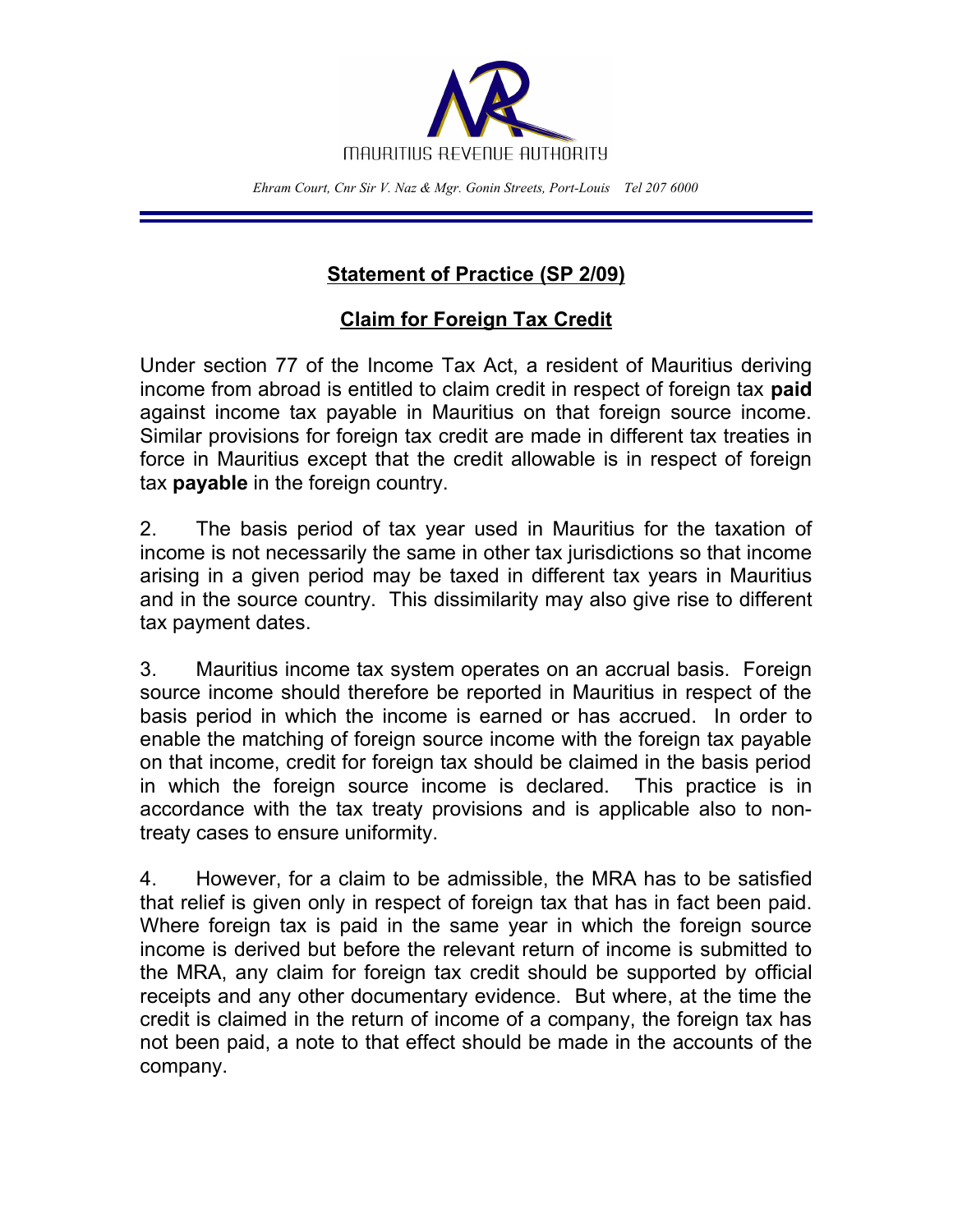

*Ehram Court, Cnr Sir V. Naz & Mgr. Gonin Streets, Port-Louis Tel 207 6000*

## **Statement of Practice (SP 2/09)**

## **Claim for Foreign Tax Credit**

Under section 77 of the Income Tax Act, a resident of Mauritius deriving income from abroad is entitled to claim credit in respect of foreign tax **paid** against income tax payable in Mauritius on that foreign source income. Similar provisions for foreign tax credit are made in different tax treaties in force in Mauritius except that the credit allowable is in respect of foreign tax **payable** in the foreign country.

2. The basis period of tax year used in Mauritius for the taxation of income is not necessarily the same in other tax jurisdictions so that income arising in a given period may be taxed in different tax years in Mauritius and in the source country. This dissimilarity may also give rise to different tax payment dates.

3. Mauritius income tax system operates on an accrual basis. Foreign source income should therefore be reported in Mauritius in respect of the basis period in which the income is earned or has accrued. In order to enable the matching of foreign source income with the foreign tax payable on that income, credit for foreign tax should be claimed in the basis period in which the foreign source income is declared. This practice is in accordance with the tax treaty provisions and is applicable also to nontreaty cases to ensure uniformity.

4. However, for a claim to be admissible, the MRA has to be satisfied that relief is given only in respect of foreign tax that has in fact been paid. Where foreign tax is paid in the same year in which the foreign source income is derived but before the relevant return of income is submitted to the MRA, any claim for foreign tax credit should be supported by official receipts and any other documentary evidence. But where, at the time the credit is claimed in the return of income of a company, the foreign tax has not been paid, a note to that effect should be made in the accounts of the company.